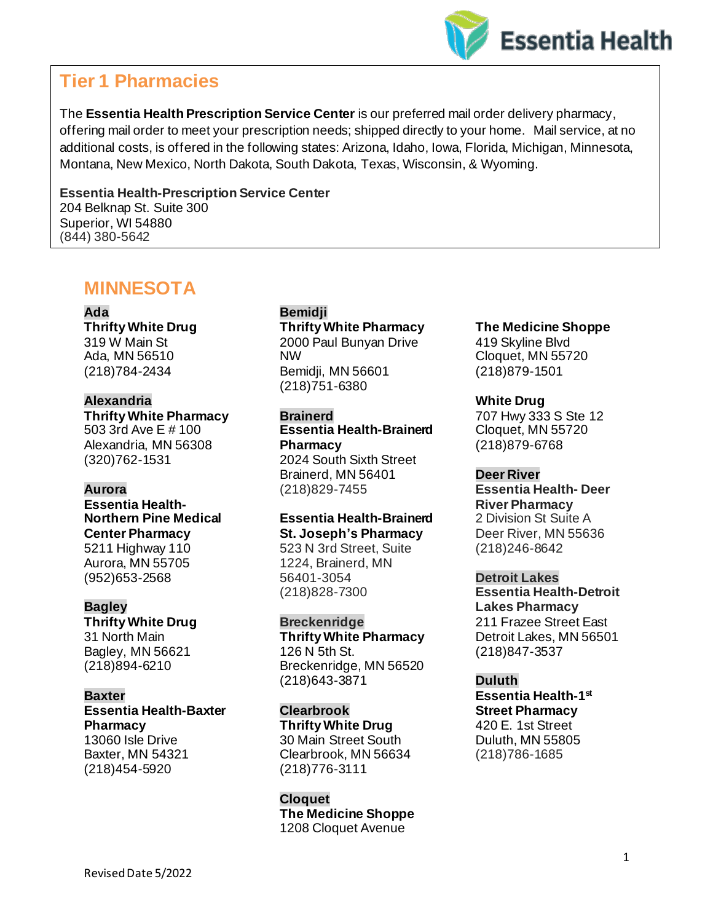

# **Tier 1 Pharmacies**

The **Essentia Health Prescription Service Center** is our preferred mail order delivery pharmacy, offering mail order to meet your prescription needs; shipped directly to your home. Mail service, at no additional costs, is offered in the following states: Arizona, Idaho, Iowa, Florida, Michigan, Minnesota, Montana, New Mexico, North Dakota, South Dakota, Texas, Wisconsin, & Wyoming.

**Essentia Health-Prescription Service Center** 204 Belknap St. Suite 300 Superior, WI 54880 (844) 380-5642

# **MINNESOTA**

**Ada**

**Thrifty White Drug** 319 W Main St Ada, MN 56510 (218)784-2434

### **Alexandria**

**Thrifty White Pharmacy** 503 3rd Ave E # 100 Alexandria, MN 56308 (320)762-1531

#### **Aurora**

**Essentia Health-Northern Pine Medical Center Pharmacy** 5211 Highway 110 Aurora, MN 55705 (952)653-2568

#### **Bagley**

**Thrifty White Drug** 31 North Main Bagley, MN 56621 (218)894-6210

#### **Baxter**

**Essentia Health-Baxter Pharmacy** 13060 Isle Drive Baxter, MN 54321 (218)454-5920

### **Bemidji**

**Thrifty White Pharmacy** 2000 Paul Bunyan Drive NW Bemidji, MN 56601 (218)751-6380

#### **Brainerd**

**Essentia Health-Brainerd Pharmacy** 2024 South Sixth Street Brainerd, MN 56401 (218)829-7455

#### **Essentia Health-Brainerd St. Joseph's Pharmacy**

523 N 3rd Street, Suite 1224, Brainerd, MN 56401-3054 (218)828-7300

**Breckenridge**

**Thrifty White Pharmacy** 126 N 5th St. Breckenridge, MN 56520 (218)643-3871

#### **Clearbrook**

**Thrifty White Drug** 30 Main Street South Clearbrook, MN 56634 (218)776-3111

### **Cloquet The Medicine Shoppe** 1208 Cloquet Avenue

## **The Medicine Shoppe**

419 Skyline Blvd Cloquet, MN 55720 (218)879-1501

### **White Drug**

707 Hwy 333 S Ste 12 Cloquet, MN 55720 (218)879-6768

#### **Deer River**

**Essentia Health- Deer River Pharmacy** 2 Division St Suite A Deer River, MN 55636 (218)246-8642

#### **Detroit Lakes**

**Essentia Health-Detroit Lakes Pharmacy** 211 Frazee Street East Detroit Lakes, MN 56501 (218)847-3537

**Duluth Essentia Health-1 st Street Pharmacy** 420 E. 1st Street Duluth, MN 55805 (218)786-1685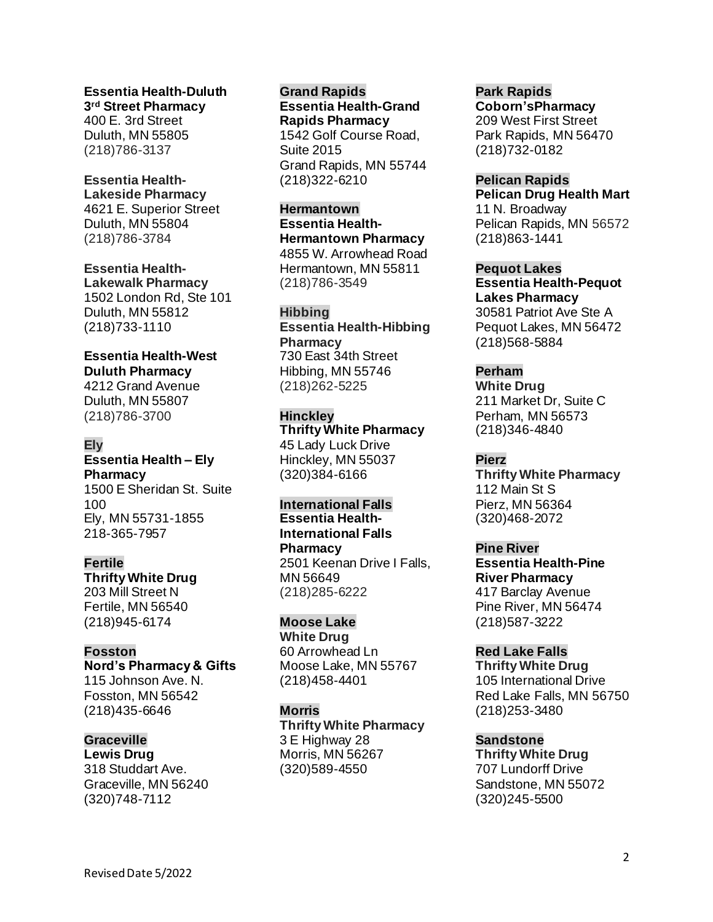**Essentia Health-Duluth 3 rd Street Pharmacy** 400 E. 3rd Street Duluth, MN 55805 (218)786-3137

### **Essentia Health-Lakeside Pharmacy** 4621 E. Superior Street Duluth, MN 55804

(218)786-3784 **Essentia Health-**

**Lakewalk Pharmacy** 1502 London Rd, Ste 101 Duluth, MN 55812 (218)733-1110

### **Essentia Health-West Duluth Pharmacy**

4212 Grand Avenue Duluth, MN 55807 (218)786-3700

### **Ely**

### **Essentia Health – Ely Pharmacy** 1500 E Sheridan St. Suite

100 Ely, MN 55731-1855 218-365-7957

### **Fertile**

**Thrifty White Drug** 203 Mill Street N Fertile, MN 56540 (218)945-6174

## **Fosston**

**Nord's Pharmacy & Gifts** 115 Johnson Ave. N. Fosston, MN 56542 (218)435-6646

## **Graceville**

**Lewis Drug** 318 Studdart Ave. Graceville, MN 56240 (320)748-7112

#### **Grand Rapids**

**Essentia Health-Grand Rapids Pharmacy** 1542 Golf Course Road, Suite 2015 Grand Rapids, MN 55744 (218)322-6210

### **Hermantown**

**Essentia Health-Hermantown Pharmacy** 4855 W. Arrowhead Road Hermantown, MN 55811 (218)786-3549

### **Hibbing**

**Essentia Health-Hibbing Pharmacy** 730 East 34th Street Hibbing, MN 55746 (218)262-5225

### **Hinckley**

**Thrifty White Pharmacy** 45 Lady Luck Drive Hinckley, MN 55037 (320)384-6166

### **International Falls**

**Essentia Health-International Falls Pharmacy** 2501 Keenan Drive I Falls, MN 56649 (218)285-6222

### **Moose Lake**

**White Drug** 60 Arrowhead Ln Moose Lake, MN 55767 (218)458-4401

### **Morris**

**Thrifty White Pharmacy** 3 E Highway 28 Morris, MN 56267 (320)589-4550

### **Park Rapids**

**Coborn'sPharmacy** 209 West First Street Park Rapids, MN 56470 (218)732-0182

**Pelican Rapids Pelican Drug Health Mart** 11 N. Broadway Pelican Rapids, MN 56572 (218)863-1441

### **Pequot Lakes**

**Essentia Health-Pequot Lakes Pharmacy** 30581 Patriot Ave Ste A Pequot Lakes, MN 56472 (218)568-5884

**Perham White Drug** 211 Market Dr, Suite C Perham, MN 56573 (218)346-4840

### **Pierz**

**Thrifty White Pharmacy** 112 Main St S Pierz, MN 56364 (320)468-2072

#### **Pine River Essentia Health-Pine River Pharmacy** 417 Barclay Avenue Pine River, MN 56474 (218)587-3222

**Red Lake Falls Thrifty White Drug** 105 International Drive

Red Lake Falls, MN 56750 (218)253-3480

### **Sandstone**

**Thrifty White Drug** 707 Lundorff Drive Sandstone, MN 55072 (320)245-5500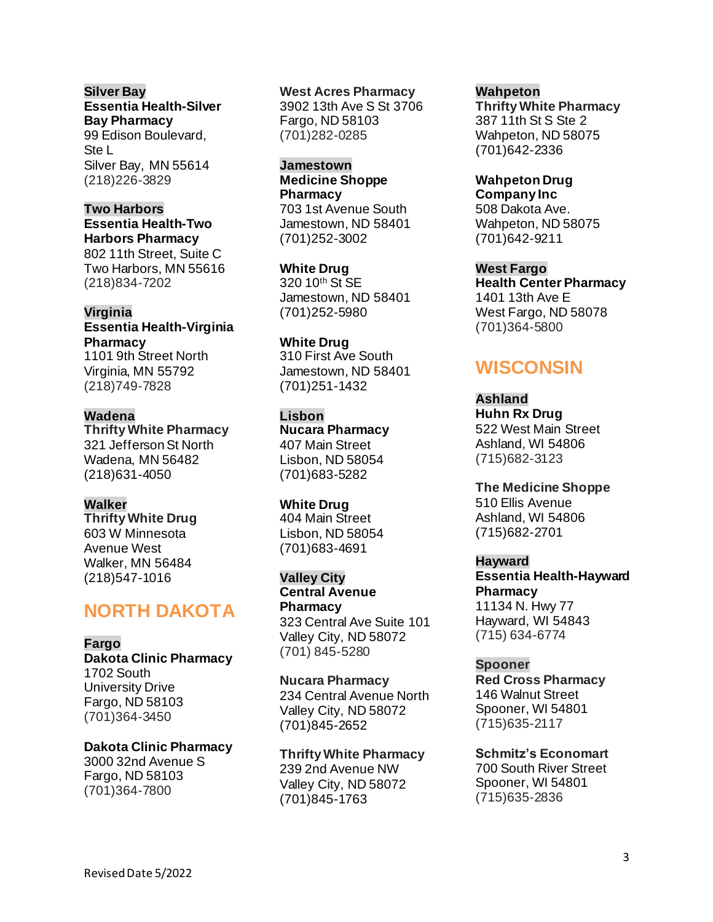### **Silver Bay Essentia Health-Silver Bay Pharmacy** 99 Edison Boulevard, Ste L

Silver Bay, MN 55614 (218)226-3829

## **Two Harbors**

**Essentia Health-Two Harbors Pharmacy** 802 11th Street, Suite C Two Harbors, MN 55616 (218)834-7202

### **Virginia**

**Essentia Health-Virginia Pharmacy** 1101 9th Street North Virginia, MN 55792

(218)749-7828

### **Wadena**

**Thrifty White Pharmacy** 321 Jefferson St North Wadena, MN 56482 (218)631-4050

### **Walker**

**Thrifty White Drug** 603 W Minnesota Avenue West Walker, MN 56484 (218)547-1016

# **NORTH DAKOTA**

### **Fargo**

**Dakota Clinic Pharmacy** 1702 South University Drive Fargo, ND 58103 (701)364-3450

#### **Dakota Clinic Pharmacy** 3000 32nd Avenue S

Fargo, ND 58103 (701)364-7800

### **West Acres Pharmacy**

3902 13th Ave S St 3706 Fargo, ND 58103 (701)282-0285

#### **Jamestown**

**Medicine Shoppe Pharmacy** 703 1st Avenue South Jamestown, ND 58401 (701)252-3002

**White Drug** 320 10<sup>th</sup> St SE Jamestown, ND 58401 (701)252-5980

**White Drug** 310 First Ave South Jamestown, ND 58401 (701)251-1432

### **Lisbon**

**Nucara Pharmacy** 407 Main Street Lisbon, ND 58054 (701)683-5282

### **White Drug**

404 Main Street Lisbon, ND 58054 (701)683-4691

### **Valley City**

**Central Avenue Pharmacy** 323 Central Ave Suite 101 Valley City, ND 58072 (701) 845-5280

**Nucara Pharmacy** 234 Central Avenue North Valley City, ND 58072 (701)845-2652

**Thrifty White Pharmacy** 239 2nd Avenue NW Valley City, ND 58072 (701)845-1763

#### **Wahpeton Thrifty White Pharmacy** 387 11th St S Ste 2 Wahpeton, ND 58075 (701)642-2336

**Wahpeton Drug Company Inc** 508 Dakota Ave. Wahpeton, ND 58075 (701)642-9211

**West Fargo Health Center Pharmacy** 1401 13th Ave E West Fargo, ND 58078 (701)364-5800

# **WISCONSIN**

**Ashland Huhn Rx Drug** 522 West Main Street Ashland, WI 54806 (715)682-3123

**The Medicine Shoppe** 510 Ellis Avenue Ashland, WI 54806 (715)682-2701

### **Hayward**

**Essentia Health-Hayward Pharmacy** 11134 N. Hwy 77 Hayward, WI 54843 (715) 634-6774

### **Spooner**

**Red Cross Pharmacy** 146 Walnut Street Spooner, WI 54801 (715)635-2117

**Schmitz's Economart** 700 South River Street Spooner, WI 54801 (715)635-2836